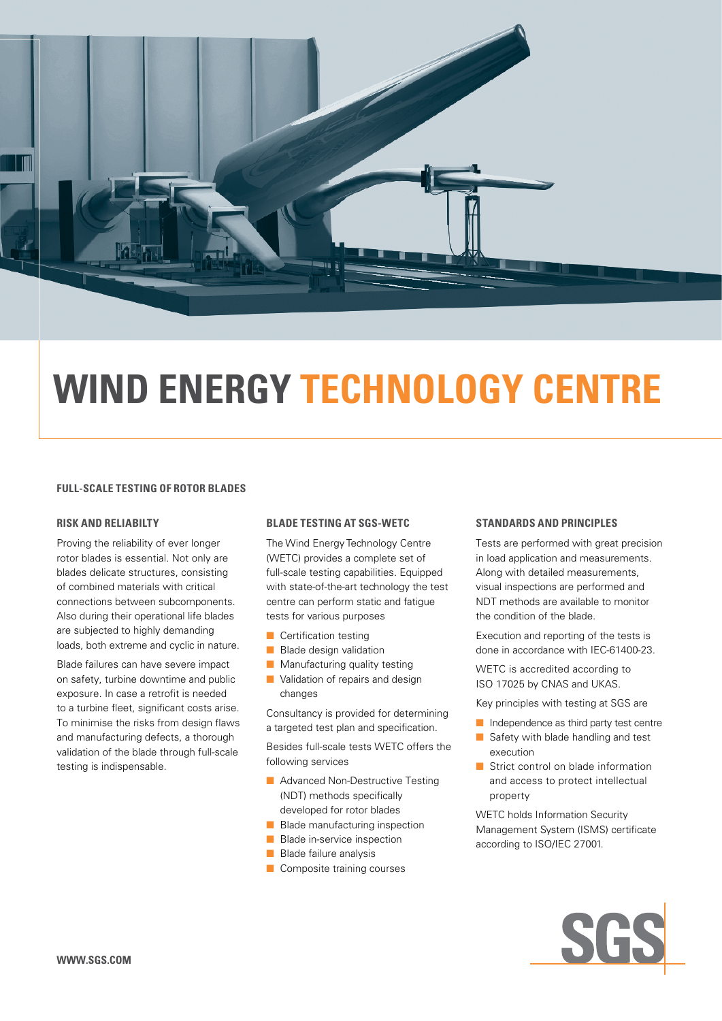

# **WIND ENERGY TECHNOLOGY CENTRE**

#### **FULL-SCALE TESTING OF ROTOR BLADES**

#### **RISK AND RELIABILTY**

Proving the reliability of ever longer rotor blades is essential. Not only are blades delicate structures, consisting of combined materials with critical connections between subcomponents. Also during their operational life blades are subjected to highly demanding loads, both extreme and cyclic in nature.

Blade failures can have severe impact on safety, turbine downtime and public exposure. In case a retrofit is needed to a turbine fleet, significant costs arise. To minimise the risks from design flaws and manufacturing defects, a thorough validation of the blade through full-scale testing is indispensable.

#### **BLADE TESTING AT SGS-WETC**

The Wind Energy Technology Centre (WETC) provides a complete set of full-scale testing capabilities. Equipped with state-of-the-art technology the test centre can perform static and fatigue tests for various purposes

- $\blacksquare$  Certification testing
- $\blacksquare$  Blade design validation
- $\blacksquare$  Manufacturing quality testing
- $\blacksquare$  Validation of repairs and design changes

Consultancy is provided for determining a targeted test plan and specification.

Besides full-scale tests WETC offers the following services

- $\blacksquare$  Advanced Non-Destructive Testing (NDT) methods specifically developed for rotor blades
- $\blacksquare$  Blade manufacturing inspection
- $\blacksquare$  Blade in-service inspection
- $\blacksquare$  Blade failure analysis
- $\blacksquare$  Composite training courses

#### **STANDARDS AND PRINCIPLES**

Tests are performed with great precision in load application and measurements. Along with detailed measurements, visual inspections are performed and NDT methods are available to monitor the condition of the blade.

Execution and reporting of the tests is done in accordance with IEC-61400-23.

WETC is accredited according to ISO 17025 by CNAS and UKAS.

Key principles with testing at SGS are

- $\blacksquare$  Independence as third party test centre
- $\blacksquare$  Safety with blade handling and test execution
- $\blacksquare$  Strict control on blade information and access to protect intellectual property

WETC holds Information Security Management System (ISMS) certificate according to ISO/IEC 27001.